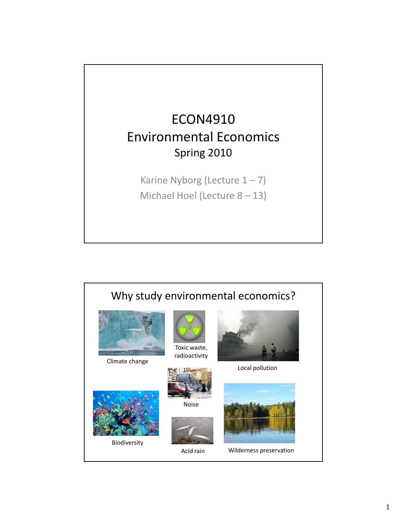

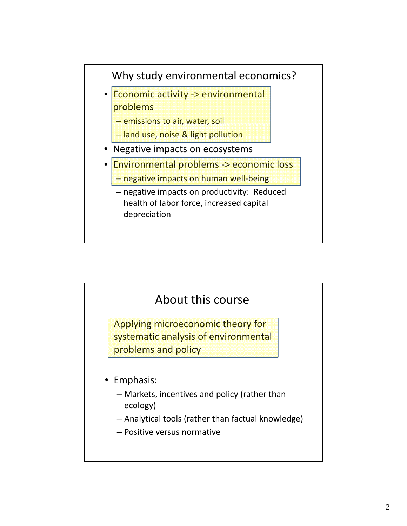

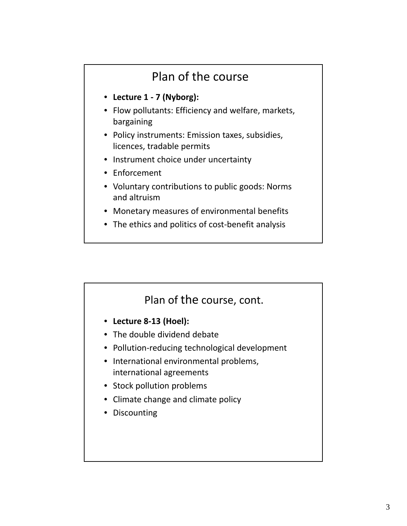# Plan of the course

- **Lecture 1 ‐ 7 (Nyborg):**
- Flow pollutants: Efficiency and welfare, markets, bargaining
- Policy instruments: Emission taxes, subsidies, licences, tradable permits
- Instrument choice under uncertainty
- Enforcement
- Voluntary contributions to public goods: Norms and altruism
- Monetary measures of environmental benefits
- The ethics and politics of cost-benefit analysis

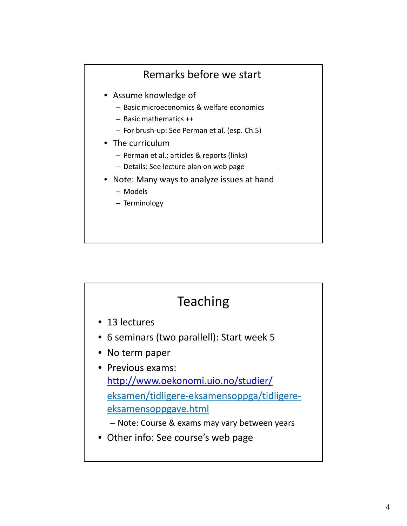### Remarks before we start

- Assume knowledge of
	- Basic microeconomics & welfare economics
	- Basic mathematics ++
	- For brush‐up: See Perman et al. (esp. Ch.5)
- The curriculum
	- Perman et al.; articles & reports (links)
	- Details: See lecture plan on web page
- Note: Many ways to analyze issues at hand
	- Models
	- Terminology

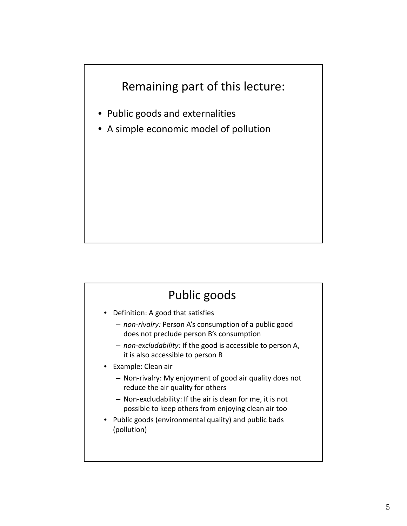## Remaining part of this lecture:

- Public goods and externalities
- A simple economic model of pollution

## Public goods

- Definition: A good that satisfies
	- *non‐rivalry:* Person A's consumption of a public good does not preclude person B's consumption
	- *non‐excludability:* If the good is accessible to person A, it is also accessible to person B
- Example: Clean air
	- Non‐rivalry: My enjoyment of good air quality does not reduce the air quality for others
	- Non‐excludability: If the air is clean for me, it is not possible to keep others from enjoying clean air too
- Public goods (environmental quality) and public bads (pollution)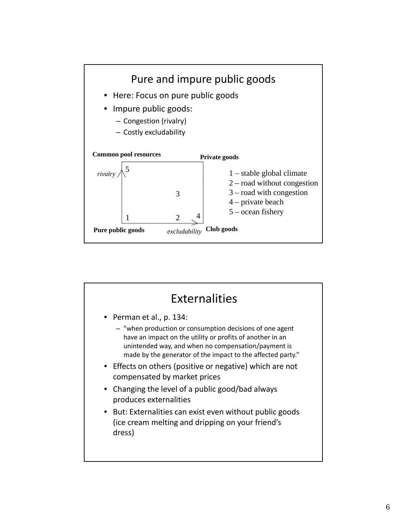

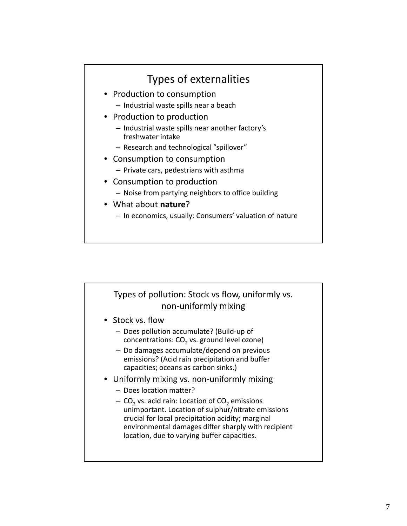## Types of externalities

- Production to consumption
	- Industrial waste spills near a beach
- Production to production
	- Industrial waste spills near another factory's freshwater intake
	- Research and technological "spillover"
- Consumption to consumption
	- Private cars, pedestrians with asthma
- Consumption to production
	- Noise from partying neighbors to office building
- What about **nature**?
	- In economics, usually: Consumers' valuation of nature

#### Types of pollution: Stock vs flow, uniformly vs. non‐uniformly mixing

- Stock vs. flow
	- Does pollution accumulate? (Build‐up of concentrations:  $CO<sub>2</sub>$  vs. ground level ozone)
	- Do damages accumulate/depend on previous emissions? (Acid rain precipitation and buffer capacities; oceans as carbon sinks.)
- Uniformly mixing vs. non-uniformly mixing
	- Does location matter?
	- $-$  CO<sub>2</sub> vs. acid rain: Location of CO<sub>2</sub> emissions unimportant. Location of sulphur/nitrate emissions crucial for local precipitation acidity; marginal environmental damages differ sharply with recipient location, due to varying buffer capacities.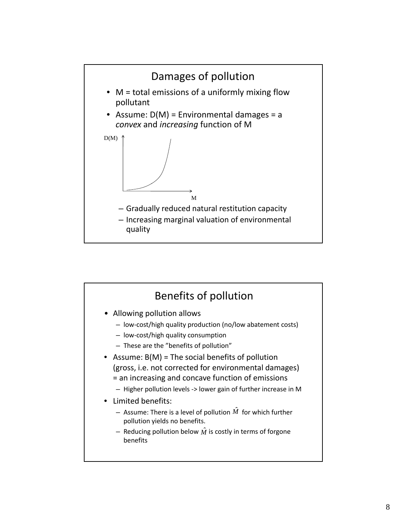

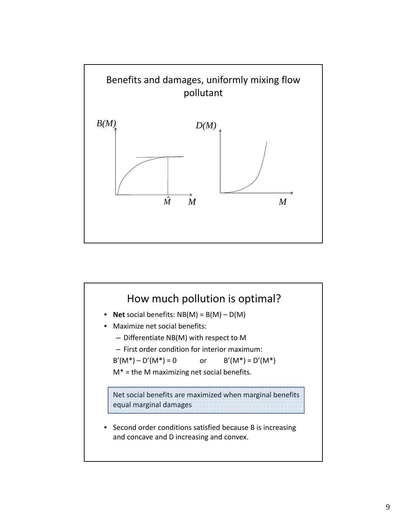

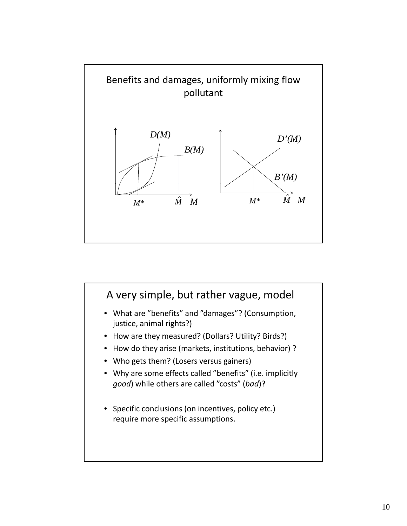

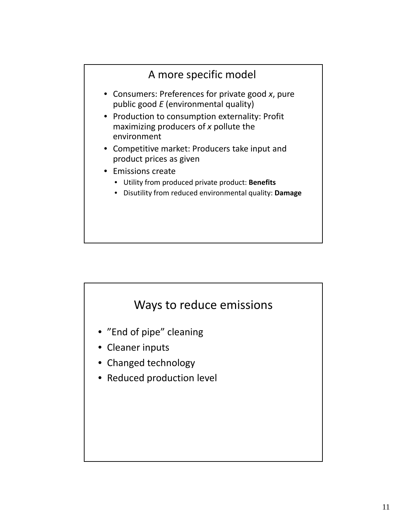



- "End of pipe" cleaning
- Cleaner inputs
- Changed technology
- Reduced production level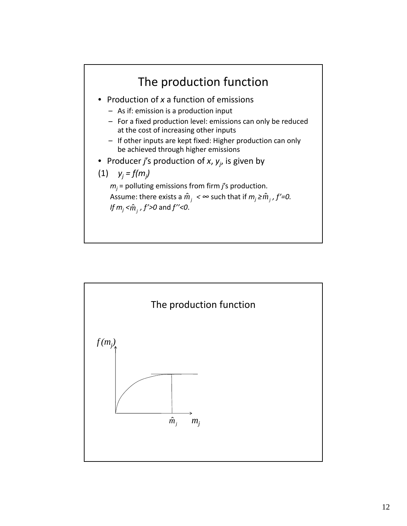

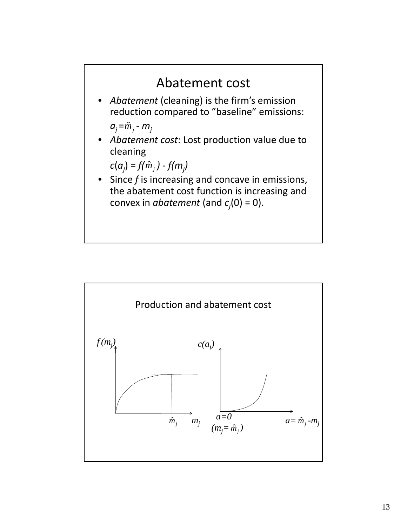

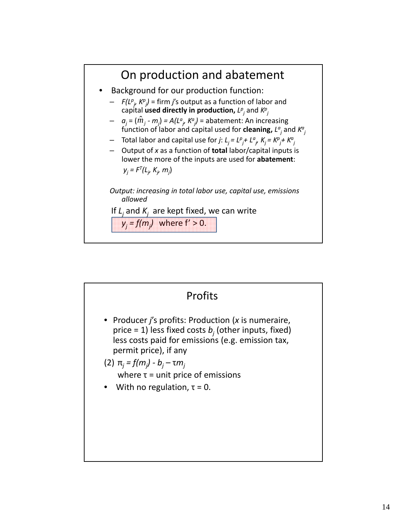

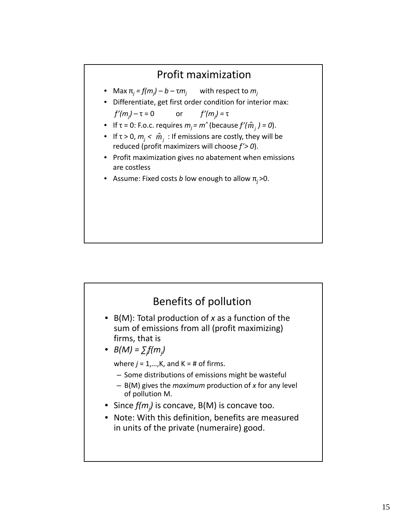#### Profit maximization

- Max  $\pi_i = f(m_i) b \tau m_i$ with respect to  $m_i$
- Differentiate, get first order condition for interior max: *f'(mj ) –* τ = 0 or *f'(mj ) =* τ
- **•** If  $\tau$  = 0: F.o.c. requires  $m_j$  =  $m^{\wedge}$  (because  $f'(\hat{m}^j)$  = 0).
- If  $\tau$  > 0,  $m_j < \hat{m}_j$  : If emissions are costly, they will be reduced (profit maximizers will choose *f'> 0*).
- Profit maximization gives no abatement when emissions are costless
- Assume: Fixed costs *b* low enough to allow π*<sup>j</sup>* >0.